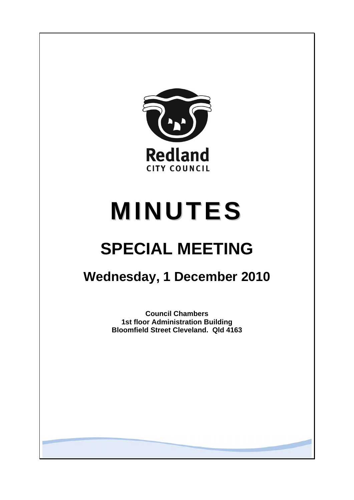

# **MINUTES**

# **SPECIAL MEETING**

## **Wednesday, 1 December 2010**

**Council Chambers 1st floor Administration Building Bloomfield Street Cleveland. Qld 4163**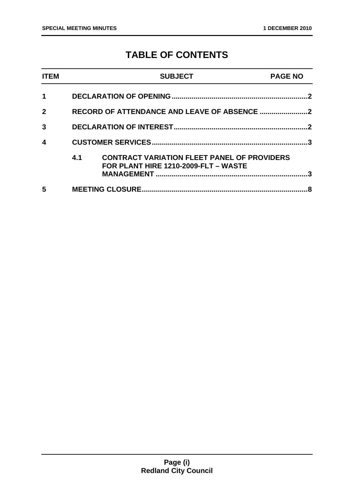### **TABLE OF CONTENTS**

| <b>ITEM</b>  |     | <b>SUBJECT</b>                                                                             | <b>PAGE NO</b> |
|--------------|-----|--------------------------------------------------------------------------------------------|----------------|
|              |     |                                                                                            | $\cdot$        |
| $\mathbf{2}$ |     |                                                                                            |                |
| 3            |     |                                                                                            | $\cdot$        |
| 4            |     |                                                                                            | ર              |
|              | 4.1 | <b>CONTRACT VARIATION FLEET PANEL OF PROVIDERS</b><br>FOR PLANT HIRE 1210-2009-FLT - WASTE | 3              |
| 5            |     |                                                                                            |                |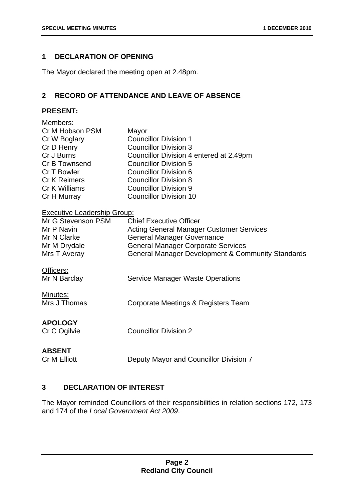#### **1 DECLARATION OF OPENING**

The Mayor declared the meeting open at 2.48pm.

#### **2 RECORD OF ATTENDANCE AND LEAVE OF ABSENCE**

#### **PRESENT:**

| Members:<br>Cr M Hobson PSM<br>Cr W Boglary<br>Cr D Henry<br>Cr J Burns<br>Cr B Townsend<br>Cr T Bowler<br><b>Cr K Reimers</b><br>Cr K Williams<br>Cr H Murray | Mayor<br><b>Councillor Division 1</b><br><b>Councillor Division 3</b><br>Councillor Division 4 entered at 2.49pm<br><b>Councillor Division 5</b><br><b>Councillor Division 6</b><br><b>Councillor Division 8</b><br><b>Councillor Division 9</b><br><b>Councillor Division 10</b> |
|----------------------------------------------------------------------------------------------------------------------------------------------------------------|-----------------------------------------------------------------------------------------------------------------------------------------------------------------------------------------------------------------------------------------------------------------------------------|
| <b>Executive Leadership Group:</b><br>Mr G Stevenson PSM<br>Mr P Navin<br>Mr N Clarke<br>Mr M Drydale<br>Mrs T Averay                                          | <b>Chief Executive Officer</b><br><b>Acting General Manager Customer Services</b><br><b>General Manager Governance</b><br><b>General Manager Corporate Services</b><br><b>General Manager Development &amp; Community Standards</b>                                               |
| Officers:<br>Mr N Barclay                                                                                                                                      | <b>Service Manager Waste Operations</b>                                                                                                                                                                                                                                           |
| Minutes:<br>Mrs J Thomas                                                                                                                                       | Corporate Meetings & Registers Team                                                                                                                                                                                                                                               |
| <b>APOLOGY</b><br>Cr C Ogilvie                                                                                                                                 | <b>Councillor Division 2</b>                                                                                                                                                                                                                                                      |
| <b>ABSENT</b><br><b>Cr M Elliott</b>                                                                                                                           | Deputy Mayor and Councillor Division 7                                                                                                                                                                                                                                            |

#### **3 DECLARATION OF INTEREST**

The Mayor reminded Councillors of their responsibilities in relation sections 172, 173 and 174 of the *Local Government Act 2009*.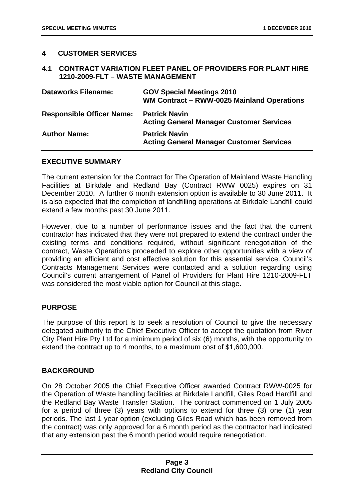#### **4 CUSTOMER SERVICES**

#### **4.1 CONTRACT VARIATION FLEET PANEL OF PROVIDERS FOR PLANT HIRE 1210-2009-FLT – WASTE MANAGEMENT**

| <b>Dataworks Filename:</b>       | <b>GOV Special Meetings 2010</b><br>WM Contract - RWW-0025 Mainland Operations |
|----------------------------------|--------------------------------------------------------------------------------|
| <b>Responsible Officer Name:</b> | <b>Patrick Navin</b><br><b>Acting General Manager Customer Services</b>        |
| <b>Author Name:</b>              | <b>Patrick Navin</b><br><b>Acting General Manager Customer Services</b>        |

#### **EXECUTIVE SUMMARY**

The current extension for the Contract for The Operation of Mainland Waste Handling Facilities at Birkdale and Redland Bay (Contract RWW 0025) expires on 31 December 2010. A further 6 month extension option is available to 30 June 2011. It is also expected that the completion of landfilling operations at Birkdale Landfill could extend a few months past 30 June 2011.

However, due to a number of performance issues and the fact that the current contractor has indicated that they were not prepared to extend the contract under the existing terms and conditions required, without significant renegotiation of the contract, Waste Operations proceeded to explore other opportunities with a view of providing an efficient and cost effective solution for this essential service. Council's Contracts Management Services were contacted and a solution regarding using Council's current arrangement of Panel of Providers for Plant Hire 1210-2009-FLT was considered the most viable option for Council at this stage.

#### **PURPOSE**

The purpose of this report is to seek a resolution of Council to give the necessary delegated authority to the Chief Executive Officer to accept the quotation from River City Plant Hire Pty Ltd for a minimum period of six (6) months, with the opportunity to extend the contract up to 4 months, to a maximum cost of \$1,600,000.

#### **BACKGROUND**

On 28 October 2005 the Chief Executive Officer awarded Contract RWW-0025 for the Operation of Waste handling facilities at Birkdale Landfill, Giles Road Hardfill and the Redland Bay Waste Transfer Station. The contract commenced on 1 July 2005 for a period of three (3) years with options to extend for three (3) one (1) year periods. The last 1 year option (excluding Giles Road which has been removed from the contract) was only approved for a 6 month period as the contractor had indicated that any extension past the 6 month period would require renegotiation.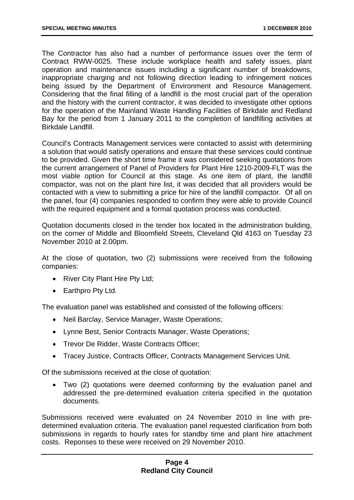The Contractor has also had a number of performance issues over the term of Contract RWW-0025. These include workplace health and safety issues, plant operation and maintenance issues including a significant number of breakdowns, inappropriate charging and not following direction leading to infringement notices being issued by the Department of Environment and Resource Management. Considering that the final filling of a landfill is the most crucial part of the operation and the history with the current contractor, it was decided to investigate other options for the operation of the Mainland Waste Handling Facilities of Birkdale and Redland Bay for the period from 1 January 2011 to the completion of landfilling activities at Birkdale Landfill.

Council's Contracts Management services were contacted to assist with determining a solution that would satisfy operations and ensure that these services could continue to be provided. Given the short time frame it was considered seeking quotations from the current arrangement of Panel of Providers for Plant Hire 1210-2009-FLT was the most viable option for Council at this stage. As one item of plant, the landfill compactor, was not on the plant hire list, it was decided that all providers would be contacted with a view to submitting a price for hire of the landfill compactor. Of all on the panel, four (4) companies responded to confirm they were able to provide Council with the required equipment and a formal quotation process was conducted.

Quotation documents closed in the tender box located in the administration building, on the corner of Middle and Bloomfield Streets, Cleveland Qld 4163 on Tuesday 23 November 2010 at 2.00pm.

At the close of quotation, two (2) submissions were received from the following companies:

- River City Plant Hire Pty Ltd;
- Earthpro Pty Ltd.

The evaluation panel was established and consisted of the following officers:

- Neil Barclay, Service Manager, Waste Operations;
- Lynne Best, Senior Contracts Manager, Waste Operations;
- Trevor De Ridder, Waste Contracts Officer;
- Tracey Justice, Contracts Officer, Contracts Management Services Unit.

Of the submissions received at the close of quotation:

• Two (2) quotations were deemed conforming by the evaluation panel and addressed the pre-determined evaluation criteria specified in the quotation documents.

Submissions received were evaluated on 24 November 2010 in line with predetermined evaluation criteria. The evaluation panel requested clarification from both submissions in regards to hourly rates for standby time and plant hire attachment costs. Reponses to these were received on 29 November 2010.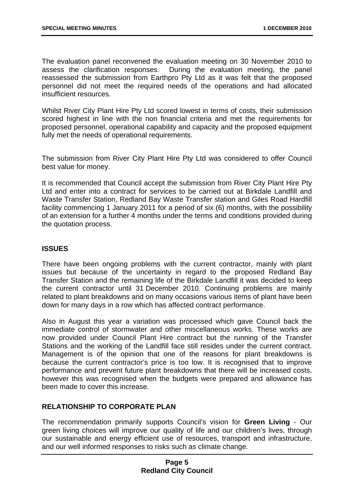The evaluation panel reconvened the evaluation meeting on 30 November 2010 to assess the clarification responses. During the evaluation meeting, the panel During the evaluation meeting, the panel reassessed the submission from Earthpro Pty Ltd as it was felt that the proposed personnel did not meet the required needs of the operations and had allocated insufficient resources.

Whilst River City Plant Hire Pty Ltd scored lowest in terms of costs, their submission scored highest in line with the non financial criteria and met the requirements for proposed personnel, operational capability and capacity and the proposed equipment fully met the needs of operational requirements.

The submission from River City Plant Hire Pty Ltd was considered to offer Council best value for money.

It is recommended that Council accept the submission from River City Plant Hire Pty Ltd and enter into a contract for services to be carried out at Birkdale Landfill and Waste Transfer Station, Redland Bay Waste Transfer station and Giles Road Hardfill facility commencing 1 January 2011 for a period of six (6) months, with the possibility of an extension for a further 4 months under the terms and conditions provided during the quotation process.

#### **ISSUES**

There have been ongoing problems with the current contractor, mainly with plant issues but because of the uncertainty in regard to the proposed Redland Bay Transfer Station and the remaining life of the Birkdale Landfill it was decided to keep the current contractor until 31 December 2010. Continuing problems are mainly related to plant breakdowns and on many occasions various items of plant have been down for many days in a row which has affected contract performance.

Also in August this year a variation was processed which gave Council back the immediate control of stormwater and other miscellaneous works. These works are now provided under Council Plant Hire contract but the running of the Transfer Stations and the working of the Landfill face still resides under the current contract. Management is of the opinion that one of the reasons for plant breakdowns is because the current contractor's price is too low. It is recognised that to improve performance and prevent future plant breakdowns that there will be increased costs, however this was recognised when the budgets were prepared and allowance has been made to cover this increase.

#### **RELATIONSHIP TO CORPORATE PLAN**

The recommendation primarily supports Council's vision for **Green Living** - Our green living choices will improve our quality of life and our children's lives, through our sustainable and energy efficient use of resources, transport and infrastructure, and our well informed responses to risks such as climate change.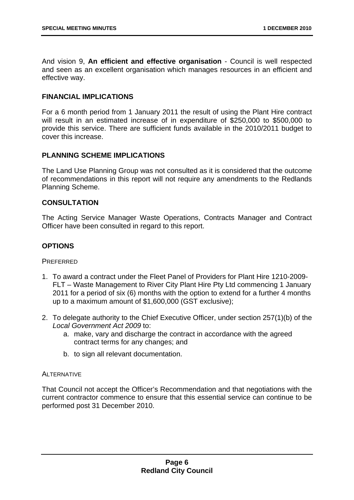And vision 9, **An efficient and effective organisation** - Council is well respected and seen as an excellent organisation which manages resources in an efficient and effective way.

#### **FINANCIAL IMPLICATIONS**

For a 6 month period from 1 January 2011 the result of using the Plant Hire contract will result in an estimated increase of in expenditure of \$250,000 to \$500,000 to provide this service. There are sufficient funds available in the 2010/2011 budget to cover this increase.

#### **PLANNING SCHEME IMPLICATIONS**

The Land Use Planning Group was not consulted as it is considered that the outcome of recommendations in this report will not require any amendments to the Redlands Planning Scheme.

#### **CONSULTATION**

The Acting Service Manager Waste Operations, Contracts Manager and Contract Officer have been consulted in regard to this report.

#### **OPTIONS**

**PREFERRED** 

- 1. To award a contract under the Fleet Panel of Providers for Plant Hire 1210-2009- FLT – Waste Management to River City Plant Hire Pty Ltd commencing 1 January 2011 for a period of six (6) months with the option to extend for a further 4 months up to a maximum amount of \$1,600,000 (GST exclusive);
- 2. To delegate authority to the Chief Executive Officer, under section 257(1)(b) of the *Local Government Act 2009* to:
	- a. make, vary and discharge the contract in accordance with the agreed contract terms for any changes; and
	- b. to sign all relevant documentation.

#### ALTERNATIVE

That Council not accept the Officer's Recommendation and that negotiations with the current contractor commence to ensure that this essential service can continue to be performed post 31 December 2010.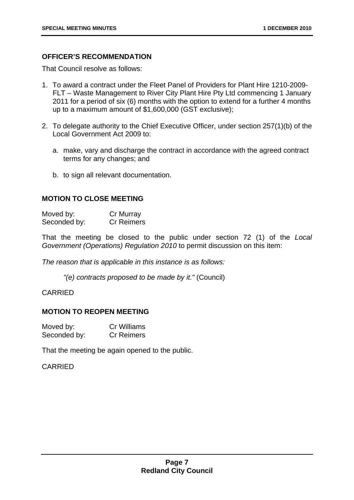#### **OFFICER'S RECOMMENDATION**

That Council resolve as follows:

- 1. To award a contract under the Fleet Panel of Providers for Plant Hire 1210-2009- FLT – Waste Management to River City Plant Hire Pty Ltd commencing 1 January 2011 for a period of six (6) months with the option to extend for a further 4 months up to a maximum amount of \$1,600,000 (GST exclusive);
- 2. To delegate authority to the Chief Executive Officer, under section 257(1)(b) of the Local Government Act 2009 to:
	- a. make, vary and discharge the contract in accordance with the agreed contract terms for any changes; and
	- b. to sign all relevant documentation.

#### **MOTION TO CLOSE MEETING**

| Moved by:    | Cr Murray         |
|--------------|-------------------|
| Seconded by: | <b>Cr Reimers</b> |

That the meeting be closed to the public under section 72 (1) of the *Local Government (Operations) Regulation 2010* to permit discussion on this item:

*The reason that is applicable in this instance is as follows:* 

*"(e) contracts proposed to be made by it."* (Council)

#### CARRIED

#### **MOTION TO REOPEN MEETING**

| Moved by:    | <b>Cr Williams</b> |
|--------------|--------------------|
| Seconded by: | <b>Cr Reimers</b>  |

That the meeting be again opened to the public.

#### CARRIED